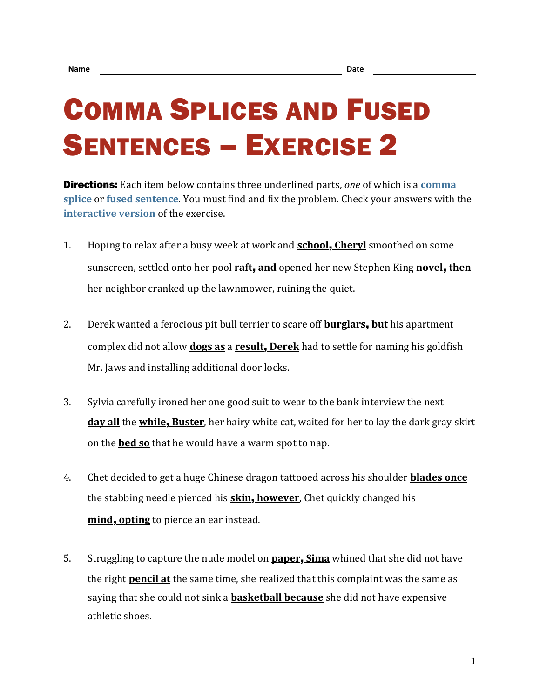## COMMA SPLICES AND FUSED SENTENCES – EXERCISE 2

Directions: Each item below contains three underlined parts, *one* of which is a **[comma](https://chompchomp.com/terms/commasplice.htm)  [splice](https://chompchomp.com/terms/commasplice.htm)** or **[fused sentence](https://chompchomp.com/terms/fusedsentence.htm)**. You must find and fix the problem. Check your answers with the **[interactive version](https://chompchomp.com/csfs02/)** of the exercise.

- 1. Hoping to relax after a busy week at work and **school**, **Cheryl** smoothed on some sunscreen, settled onto her pool **raft**, **and** opened her new Stephen King **novel**, **then** her neighbor cranked up the lawnmower, ruining the quiet.
- 2. Derek wanted a ferocious pit bull terrier to scare off **burglars**, **but** his apartment complex did not allow **dogs as** a **result**, **Derek** had to settle for naming his goldfish Mr. Jaws and installing additional door locks.
- 3. Sylvia carefully ironed her one good suit to wear to the bank interview the next **day all** the **while**, **Buster**, her hairy white cat, waited for her to lay the dark gray skirt on the **bed so** that he would have a warm spot to nap.
- 4. Chet decided to get a huge Chinese dragon tattooed across his shoulder **blades once** the stabbing needle pierced his **skin**, **however**, Chet quickly changed his **mind**, **opting** to pierce an ear instead.
- 5. Struggling to capture the nude model on **paper**, **Sima** whined that she did not have the right **pencil at** the same time, she realized that this complaint was the same as saying that she could not sink a **basketball because** she did not have expensive athletic shoes.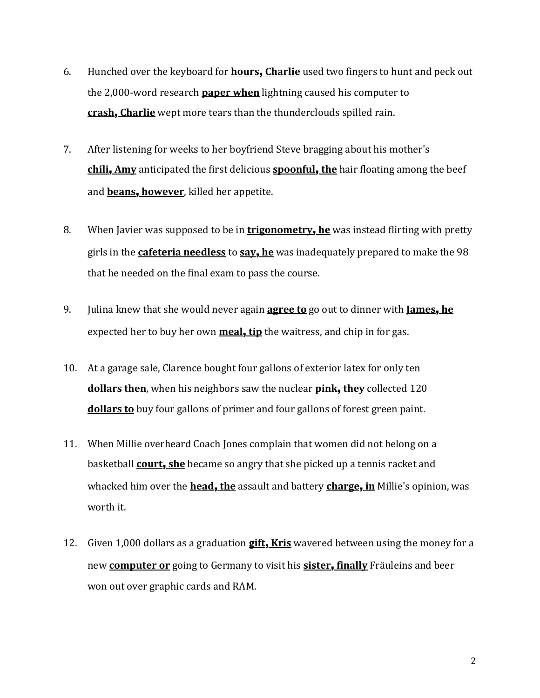- 6. Hunched over the keyboard for **hours**, **Charlie** used two fingers to hunt and peck out the 2,000-word research **paper when** lightning caused his computer to **crash**, **Charlie** wept more tears than the thunderclouds spilled rain.
- 7. After listening for weeks to her boyfriend Steve bragging about his mother's **chili**, **Amy** anticipated the first delicious **spoonful**, **the** hair floating among the beef and **beans**, **however**, killed her appetite.
- 8. When Javier was supposed to be in **trigonometry**, **he** was instead flirting with pretty girls in the **cafeteria needless** to **say**, **he** was inadequately prepared to make the 98 that he needed on the final exam to pass the course.
- 9. Julina knew that she would never again **agree to** go out to dinner with **James**, **he** expected her to buy her own **meal**, **tip** the waitress, and chip in for gas.
- 10. At a garage sale, Clarence bought four gallons of exterior latex for only ten **dollars then**, when his neighbors saw the nuclear **pink**, **they** collected 120 **dollars to** buy four gallons of primer and four gallons of forest green paint.
- 11. When Millie overheard Coach Jones complain that women did not belong on a basketball **court**, **she** became so angry that she picked up a tennis racket and whacked him over the **head**, **the** assault and battery **charge**, **in** Millie's opinion, was worth it.
- 12. Given 1,000 dollars as a graduation **gift**, **Kris** wavered between using the money for a new **computer or** going to Germany to visit his **sister**, **finally** Fräuleins and beer won out over graphic cards and RAM.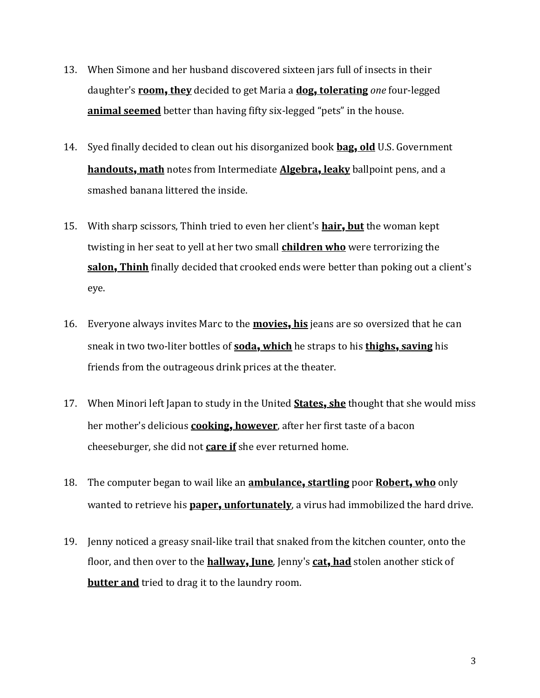- 13. When Simone and her husband discovered sixteen jars full of insects in their daughter's **room**, **they** decided to get Maria a **dog**, **tolerating** *one* four-legged **animal seemed** better than having fifty six-legged "pets" in the house.
- 14. Syed finally decided to clean out his disorganized book **bag**, **old** U.S. Government **handouts**, **math** notes from Intermediate **Algebra**, **leaky** ballpoint pens, and a smashed banana littered the inside.
- 15. With sharp scissors, Thinh tried to even her client's **hair**, **but** the woman kept twisting in her seat to yell at her two small **children who** were terrorizing the **salon**, **Thinh** finally decided that crooked ends were better than poking out a client's eye.
- 16. Everyone always invites Marc to the **movies**, **his** jeans are so oversized that he can sneak in two two-liter bottles of **soda**, **which** he straps to his **thighs**, **saving** his friends from the outrageous drink prices at the theater.
- 17. When Minori left Japan to study in the United **States**, **she** thought that she would miss her mother's delicious **cooking**, **however**, after her first taste of a bacon cheeseburger, she did not **care if** she ever returned home.
- 18. The computer began to wail like an **ambulance**, **startling** poor **Robert**, **who** only wanted to retrieve his **paper**, **unfortunately**, a virus had immobilized the hard drive.
- 19. Jenny noticed a greasy snail-like trail that snaked from the kitchen counter, onto the floor, and then over to the **hallway**, **June**, Jenny's **cat**, **had** stolen another stick of **butter and** tried to drag it to the laundry room.